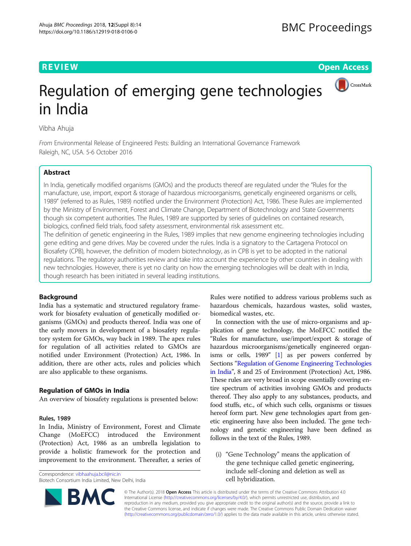**REVIEW CONTROL** CONTROL CONTROL CONTROL CONTROL CONTROL CONTROL CONTROL CONTROL CONTROL CONTROL CONTROL CONTROL CONTROL CONTROL CONTROL CONTROL CONTROL CONTROL CONTROL CONTROL CONTROL CONTROL CONTROL CONTROL CONTROL CONTR

CrossMark

# Regulation of emerging gene technologies in India

Vibha Ahuja

From Environmental Release of Engineered Pests: Building an International Governance Framework Raleigh, NC, USA. 5-6 October 2016

# Abstract

In India, genetically modified organisms (GMOs) and the products thereof are regulated under the "Rules for the manufacture, use, import, export & storage of hazardous microorganisms, genetically engineered organisms or cells, 1989" (referred to as Rules, 1989) notified under the Environment (Protection) Act, 1986. These Rules are implemented by the Ministry of Environment, Forest and Climate Change, Department of Biotechnology and State Governments though six competent authorities. The Rules, 1989 are supported by series of guidelines on contained research, biologics, confined field trials, food safety assessment, environmental risk assessment etc.

The definition of genetic engineering in the Rules, 1989 implies that new genome engineering technologies including gene editing and gene drives. May be covered under the rules. India is a signatory to the Cartagena Protocol on Biosafety (CPB), however, the definition of modern biotechnology, as in CPB is yet to be adopted in the national regulations. The regulatory authorities review and take into account the experience by other countries in dealing with new technologies. However, there is yet no clarity on how the emerging technologies will be dealt with in India, though research has been initiated in several leading institutions.

# Background

India has a systematic and structured regulatory framework for biosafety evaluation of genetically modified organisms (GMOs) and products thereof. India was one of the early movers in development of a biosafety regulatory system for GMOs, way back in 1989. The apex rules for regulation of all activities related to GMOs are notified under Environment (Protection) Act, 1986. In addition, there are other acts, rules and policies which are also applicable to these organisms.

# Regulation of GMOs in India

An overview of biosafety regulations is presented below:

## Rules, 1989

In India, Ministry of Environment, Forest and Climate Change (MoEFCC) introduced the Environment (Protection) Act, 1986 as an umbrella legislation to provide a holistic framework for the protection and improvement to the environment. Thereafter, a series of

Correspondence: [vibhaahuja.bcil@nic.in](mailto:vibhaahuja.bcil@nic.in)<br>Biotech Consortium India Limited, New Delhi, India New York New York (Pell hybridization.

**BM** 

Rules were notified to address various problems such as hazardous chemicals, hazardous wastes, solid wastes, biomedical wastes, etc.

In connection with the use of micro-organisms and application of gene technology, the MoEFCC notified the "Rules for manufacture, use/import/export & storage of hazardous microorganisms/genetically engineered organisms or cells, 1989" [[1\]](#page-6-0) as per powers conferred by Sections "[Regulation of Genome Engineering Technologies](#page-4-0) [in India](#page-4-0)", 8 and 25 of Environment (Protection) Act, 1986. These rules are very broad in scope essentially covering entire spectrum of activities involving GMOs and products thereof. They also apply to any substances, products, and food stuffs, etc., of which such cells, organisms or tissues hereof form part. New gene technologies apart from genetic engineering have also been included. The gene technology and genetic engineering have been defined as follows in the text of the Rules, 1989.

(i) "Gene Technology" means the application of the gene technique called genetic engineering, include self-cloning and deletion as well as

© The Author(s). 2018 Open Access This article is distributed under the terms of the Creative Commons Attribution 4.0 International License [\(http://creativecommons.org/licenses/by/4.0/](http://creativecommons.org/licenses/by/4.0/)), which permits unrestricted use, distribution, and reproduction in any medium, provided you give appropriate credit to the original author(s) and the source, provide a link to the Creative Commons license, and indicate if changes were made. The Creative Commons Public Domain Dedication waiver [\(http://creativecommons.org/publicdomain/zero/1.0/](http://creativecommons.org/publicdomain/zero/1.0/)) applies to the data made available in this article, unless otherwise stated.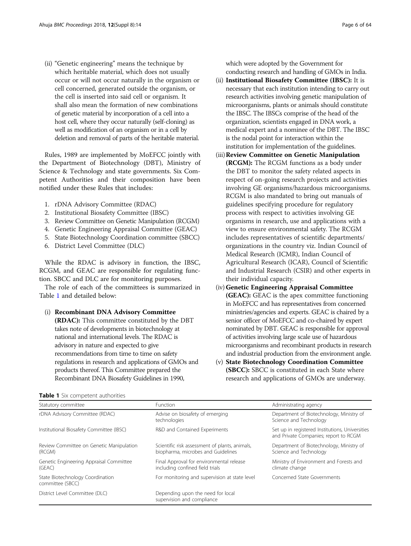(ii) "Genetic engineering" means the technique by which heritable material, which does not usually occur or will not occur naturally in the organism or cell concerned, generated outside the organism, or the cell is inserted into said cell or organism. It shall also mean the formation of new combinations of genetic material by incorporation of a cell into a host cell, where they occur naturally (self-cloning) as well as modification of an organism or in a cell by deletion and removal of parts of the heritable material.

Rules, 1989 are implemented by MoEFCC jointly with the Department of Biotechnology (DBT), Ministry of Science & Technology and state governments. Six Competent Authorities and their composition have been notified under these Rules that includes:

- 1. rDNA Advisory Committee (RDAC)
- 2. Institutional Biosafety Committee (IBSC)
- 3. Review Committee on Genetic Manipulation (RCGM)
- 4. Genetic Engineering Appraisal Committee (GEAC)
- 5. State Biotechnology Coordination committee (SBCC)
- 6. District Level Committee (DLC)

While the RDAC is advisory in function, the IBSC, RCGM, and GEAC are responsible for regulating function. SBCC and DLC are for monitoring purposes.

The role of each of the committees is summarized in Table 1 and detailed below:

(i) Recombinant DNA Advisory Committee (RDAC): This committee constituted by the DBT takes note of developments in biotechnology at national and international levels. The RDAC is advisory in nature and expected to give recommendations from time to time on safety regulations in research and applications of GMOs and products thereof. This Committee prepared the Recombinant DNA Biosafety Guidelines in 1990,

which were adopted by the Government for conducting research and handling of GMOs in India.

- (ii) Institutional Biosafety Committee (IBSC): It is necessary that each institution intending to carry out research activities involving genetic manipulation of microorganisms, plants or animals should constitute the IBSC. The IBSCs comprise of the head of the organization, scientists engaged in DNA work, a medical expert and a nominee of the DBT. The IBSC is the nodal point for interaction within the institution for implementation of the guidelines.
- (iii)Review Committee on Genetic Manipulation (RCGM): The RCGM functions as a body under the DBT to monitor the safety related aspects in respect of on-going research projects and activities involving GE organisms/hazardous microorganisms. RCGM is also mandated to bring out manuals of guidelines specifying procedure for regulatory process with respect to activities involving GE organisms in research, use and applications with a view to ensure environmental safety. The RCGM includes representatives of scientific departments/ organizations in the country viz. Indian Council of Medical Research (ICMR), Indian Council of Agricultural Research (ICAR), Council of Scientific and Industrial Research (CSIR) and other experts in their individual capacity.
- (iv)Genetic Engineering Appraisal Committee (GEAC): GEAC is the apex committee functioning in MoEFCC and has representatives from concerned ministries/agencies and experts. GEAC is chaired by a senior officer of MoEFCC and co-chaired by expert nominated by DBT. GEAC is responsible for approval of activities involving large scale use of hazardous microorganisms and recombinant products in research and industrial production from the environment angle.
- (v) State Biotechnology Coordination Committee (SBCC): SBCC is constituted in each State where research and applications of GMOs are underway.

| Table 1 Six competent authorities |  |
|-----------------------------------|--|
|-----------------------------------|--|

| Statutory committee                                  | Function                                                                             | Administrating agency                                                                    |  |
|------------------------------------------------------|--------------------------------------------------------------------------------------|------------------------------------------------------------------------------------------|--|
| rDNA Advisory Committee (RDAC)                       | Advise on biosafety of emerging<br>technologies                                      | Department of Biotechnology, Ministry of<br>Science and Technology                       |  |
| Institutional Biosafety Committee (IBSC)             | R&D and Contained Experiments                                                        | Set up in registered Institutions, Universities<br>and Private Companies; report to RCGM |  |
| Review Committee on Genetic Manipulation<br>(RCGM)   | Scientific risk assessment of plants, animals,<br>biopharma, microbes and Guidelines | Department of Biotechnology, Ministry of<br>Science and Technology                       |  |
| Genetic Engineering Appraisal Committee<br>(GEAC)    | Final Approval for environmental release<br>including confined field trials          | Ministry of Environment and Forests and<br>climate change                                |  |
| State Biotechnology Coordination<br>committee (SBCC) | For monitoring and supervision at state level                                        | Concerned State Governments                                                              |  |
| District Level Committee (DLC)                       | Depending upon the need for local<br>supervision and compliance                      |                                                                                          |  |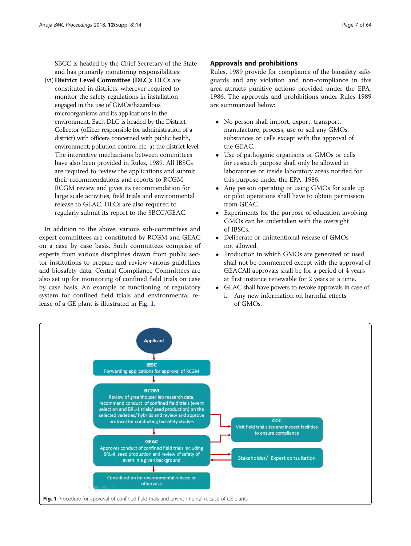SBCC is headed by the Chief Secretary of the State and has primarily monitoring responsibilities:

(vi) District Level Committee (DLC): DLCs are constituted in districts, wherever required to monitor the safety regulations in installation engaged in the use of GMOs/hazardous microorganisms and its applications in the environment. Each DLC is headed by the District Collector (officer responsible for administration of a district) with officers concerned with public health, environment, pollution control etc. at the district level. The interactive mechanisms between committees have also been provided in Rules, 1989. All IBSCs are required to review the applications and submit their recommendations and reports to RCGM. RCGM review and gives its recommendation for large scale activities, field trials and environmental release to GEAC. DLCs are also required to regularly submit its report to the SBCC/GEAC.

In addition to the above, various sub-committees and expert committees are constituted by RCGM and GEAC on a case by case basis. Such committees comprise of experts from various disciplines drawn from public sector institutions to prepare and review various guidelines and biosafety data. Central Compliance Committees are also set up for monitoring of confined field trials on case by case basis. An example of functioning of regulatory system for confined field trials and environmental release of a GE plant is illustrated in Fig. 1.

# Approvals and prohibitions

Rules, 1989 provide for compliance of the biosafety safeguards and any violation and non-compliance in this area attracts punitive actions provided under the EPA, 1986. The approvals and prohibitions under Rules 1989 are summarized below:

- No person shall import, export, transport, manufacture, process, use or sell any GMOs, substances or cells except with the approval of the GEAC.
- Use of pathogenic organisms or GMOs or cells for research purpose shall only be allowed in laboratories or inside laboratory areas notified for this purpose under the EPA, 1986.
- Any person operating or using GMOs for scale up or pilot operations shall have to obtain permission from GEAC.
- Experiments for the purpose of education involving GMOs can be undertaken with the oversight of IBSCs.
- Deliberate or unintentional release of GMOs not allowed.
- Production in which GMOs are generated or used shall not be commenced except with the approval of GEACAll approvals shall be for a period of 4 years at first instance renewable for 2 years at a time.
- GEAC shall have powers to revoke approvals in case of:<br>i Any new information on harmful effects
	- i. Any new information on harmful effects of GMOs.

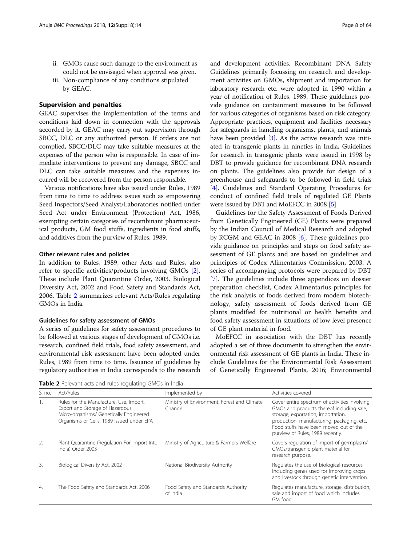- ii. GMOs cause such damage to the environment as could not be envisaged when approval was given.
- iii. Non-compliance of any conditions stipulated by GEAC.

# Supervision and penalties

GEAC supervises the implementation of the terms and conditions laid down in connection with the approvals accorded by it. GEAC may carry out supervision through SBCC, DLC or any authorized person. If orders are not complied, SBCC/DLC may take suitable measures at the expenses of the person who is responsible. In case of immediate interventions to prevent any damage, SBCC and DLC can take suitable measures and the expenses incurred will be recovered from the person responsible.

Various notifications have also issued under Rules, 1989 from time to time to address issues such as empowering Seed Inspectors/Seed Analyst/Laboratories notified under Seed Act under Environment (Protection) Act, 1986, exempting certain categories of recombinant pharmaceutical products, GM food stuffs, ingredients in food stuffs, and additives from the purview of Rules, 1989.

### Other relevant rules and policies

In addition to Rules, 1989, other Acts and Rules, also refer to specific activities/products involving GMOs [\[2](#page-6-0)]. These include Plant Quarantine Order, 2003. Biological Diversity Act, 2002 and Food Safety and Standards Act, 2006. Table 2 summarizes relevant Acts/Rules regulating GMOs in India.

# Guidelines for safety assessment of GMOs

A series of guidelines for safety assessment procedures to be followed at various stages of development of GMOs i.e. research, confined field trials, food safety assessment, and environmental risk assessment have been adopted under Rules, 1989 from time to time. Issuance of guidelines by regulatory authorities in India corresponds to the research and development activities. Recombinant DNA Safety Guidelines primarily focussing on research and development activities on GMOs, shipment and importation for laboratory research etc. were adopted in 1990 within a year of notification of Rules, 1989. These guidelines provide guidance on containment measures to be followed for various categories of organisms based on risk category. Appropriate practices, equipment and facilities necessary for safeguards in handling organisms, plants, and animals have been provided [[3\]](#page-6-0). As the active research was initiated in transgenic plants in nineties in India, Guidelines for research in transgenic plants were issued in 1998 by DBT to provide guidance for recombinant DNA research on plants. The guidelines also provide for design of a greenhouse and safeguards to be followed in field trials [[4\]](#page-6-0). Guidelines and Standard Operating Procedures for conduct of confined field trials of regulated GE Plants were issued by DBT and MoEFCC in 2008 [[5](#page-6-0)].

Guidelines for the Safety Assessment of Foods Derived from Genetically Engineered (GE) Plants were prepared by the Indian Council of Medical Research and adopted by RCGM and GEAC in 2008 [[6](#page-6-0)]. These guidelines provide guidance on principles and steps on food safety assessment of GE plants and are based on guidelines and principles of Codex Alimentarius Commission, 2003. A series of accompanying protocols were prepared by DBT [[7\]](#page-6-0). The guidelines include three appendices on dossier preparation checklist, Codex Alimentarius principles for the risk analysis of foods derived from modern biotechnology, safety assessment of foods derived from GE plants modified for nutritional or health benefits and food safety assessment in situations of low level presence of GE plant material in food.

MoEFCC in association with the DBT has recently adopted a set of three documents to strengthen the environmental risk assessment of GE plants in India. These include Guidelines for the Environmental Risk Assessment of Genetically Engineered Plants, 2016; Environmental

Table 2 Relevant acts and rules regulating GMOs in India

| S. no.           | Act/Rules                                                                                                                                                          | Implemented by                                        | Activities covered                                                                                                                                                                                                                                           |
|------------------|--------------------------------------------------------------------------------------------------------------------------------------------------------------------|-------------------------------------------------------|--------------------------------------------------------------------------------------------------------------------------------------------------------------------------------------------------------------------------------------------------------------|
|                  | Rules for the Manufacture, Use, Import,<br>Export and Storage of Hazardous<br>Micro-organisms/ Genetically Engineered<br>Organisms or Cells, 1989 issued under EPA | Ministry of Environment, Forest and Climate<br>Change | Cover entire spectrum of activities involving<br>GMOs and products thereof including sale,<br>storage, exportation, importation,<br>production, manufacturing, packaging, etc.<br>Food stuffs have been moved out of the<br>purview of Rules, 1989 recently. |
| 2.               | Plant Quarantine (Regulation For Import Into<br>India) Order 2003                                                                                                  | Ministry of Agriculture & Farmers Welfare             | Covers regulation of import of germplasm/<br>GMOs/transgenic plant material for<br>research purpose.                                                                                                                                                         |
| $\overline{3}$ . | Biological Diversity Act, 2002                                                                                                                                     | National Biodiversity Authority                       | Regulates the use of biological resources<br>including genes used for improving crops<br>and livestock through genetic intervention.                                                                                                                         |
| $\overline{4}$ . | The Food Safety and Standards Act, 2006                                                                                                                            | Food Safety and Standards Authority<br>of India       | Regulates manufacture, storage, distribution,<br>sale and import of food which includes<br>GM food.                                                                                                                                                          |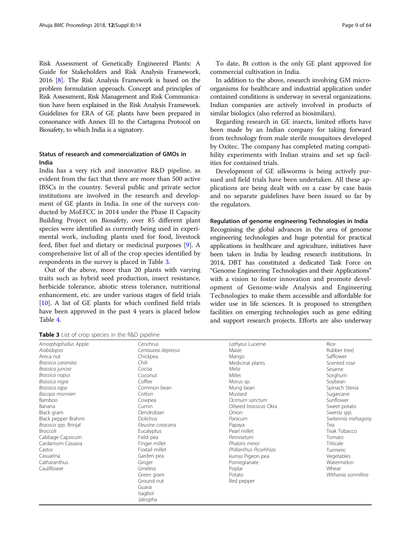<span id="page-4-0"></span>Risk Assessment of Genetically Engineered Plants: A Guide for Stakeholders and Risk Analysis Framework, 2016 [[8](#page-6-0)]. The Risk Analysis Framework is based on the problem formulation approach. Concept and principles of Risk Assessment, Risk Management and Risk Communication have been explained in the Risk Analysis Framework. Guidelines for ERA of GE plants have been prepared in consonance with Annex III to the Cartagena Protocol on Biosafety, to which India is a signatory.

# Status of research and commercialization of GMOs in India

India has a very rich and innovative R&D pipeline, as evident from the fact that there are more than 500 active IBSCs in the country. Several public and private sector institutions are involved in the research and development of GE plants in India. In one of the surveys conducted by MoEFCC in 2014 under the Phase II Capacity Building Project on Biosafety, over 85 different plant species were identified as currently being used in experimental work, including plants used for food, livestock feed, fiber fuel and dietary or medicinal purposes [[9\]](#page-6-0). A comprehensive list of all of the crop species identified by respondents in the survey is placed in Table 3.

Out of the above, more than 20 plants with varying traits such as hybrid seed production, insect resistance, herbicide tolerance, abiotic stress tolerance, nutritional enhancement, etc. are under various stages of field trials [[10\]](#page-6-0). A list of GE plants for which confined field trials have been approved in the past 4 years is placed below Table [4.](#page-5-0)

Table 3 List of crop species in the R&D pipeline

To date, Bt cotton is the only GE plant approved for commercial cultivation in India.

In addition to the above, research involving GM microorganisms for healthcare and industrial application under contained conditions is underway in several organizations. Indian companies are actively involved in products of similar biologics (also referred as biosimilars).

Regarding research in GE insects, limited efforts have been made by an Indian company for taking forward from technology from male sterile mosquitoes developed by Oxitec. The company has completed mating compatibility experiments with Indian strains and set up facilities for contained trials.

Development of GE silkworms is being actively pursued and field trials have been undertaken. All these applications are being dealt with on a case by case basis and no separate guidelines have been issued so far by the regulators.

### Regulation of genome engineering Technologies in India

Recognising the global advances in the area of genome engineering technologies and huge potential for practical applications in healthcare and agriculture, initiatives have been taken in India by leading research institutions. In 2014, DBT has constituted a dedicated Task Force on "Genome Engineering Technologies and their Applications" with a vision to foster innovation and promote development of Genome-wide Analysis and Engineering Technologies to make them accessible and affordable for wider use in life sciences. It is proposed to strengthen facilities on emerging technologies such as gene editing and support research projects. Efforts are also underway

| Amorphaphallus Apple  | Cenchrus           | Lathyrus Lucerne       | Rice               |
|-----------------------|--------------------|------------------------|--------------------|
| Arabidopsis           | Centaurea depressa | Maize                  | Rubber tree)       |
| Areca nut             | Chickpea           | Mango                  | Safflower          |
| Brassica caranata     | Chili              | Medicinal plants       | Scented rose       |
| Brassica juncea       | Cocoa              | Melia                  | Sesame             |
| Brassica napus        | Coconut            | Millet                 | Sorghum            |
| Brassica nigra        | Coffee             | Morus sp.              | Soybean            |
| Brassica rapa         | Common bean        | Mung bean              | Spinach Stevia     |
| Bacopa monnieri       | Cotton             | Mustard                | Sugarcane          |
| Bamboo                | Cowpea             | Ocimum sanctum         | Sunflower          |
| Banana                | Cumin              | Oilseed brassicas Okra | Sweet potato       |
| Black gram            | Dendrobian         | Onion                  | Swertia spp.       |
| Black pepper Brahmi   | Dolichos           | Panicum                | Switennia mehagony |
| Brassica spp. Brinjal | Eleusine coracana  | Papaya                 | Tea                |
| <b>Broccoli</b>       | Eucalyptus         | Pearl millet           | Teak Tobacco       |
| Cabbage Capsicum      | Field pea          | Pennisetum             | Tomato             |
| Cardamom Cassava      | Finger millet      | Phalaris minor         | Triticale          |
| Castor                | Foxtail millet     | Phillanthus Picorhhiza | Turmeric           |
| Casuarina             | Garden pea         | kurroa Pigeon pea      | Vegetables         |
| Catharanthus          | Ginger             | Pomegranate            | Watermelon         |
| Cauliflower           | Gmelina            | Poplar                 | Wheat              |
|                       | Green gram         | Potato                 | Withania somnifera |
|                       | Ground nut         | Red pepper             |                    |
|                       | Guava              |                        |                    |
|                       | Isagbol            |                        |                    |
|                       | Jatropha           |                        |                    |
|                       |                    |                        |                    |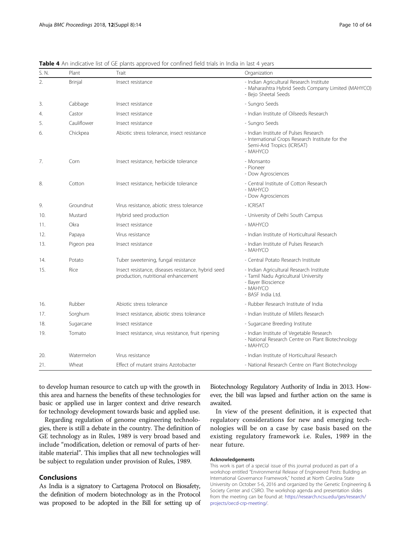| S. N. | Plant       | Trait                                                                                      | Organization                                                                                                                            |
|-------|-------------|--------------------------------------------------------------------------------------------|-----------------------------------------------------------------------------------------------------------------------------------------|
| 2.    | Brinjal     | Insect resistance                                                                          | - Indian Agricultural Research Institute<br>- Maharashtra Hybrid Seeds Company Limited (MAHYCO)<br>- Bejo Sheetal Seeds                 |
| 3.    | Cabbage     | Insect resistance                                                                          | - Sungro Seeds                                                                                                                          |
| 4.    | Castor      | Insect resistance                                                                          | - Indian Institute of Oilseeds Research                                                                                                 |
| 5.    | Cauliflower | Insect resistance                                                                          | - Sungro Seeds                                                                                                                          |
| 6.    | Chickpea    | Abiotic stress tolerance, insect resistance                                                | - Indian Institute of Pulses Research<br>- International Crops Research Institute for the<br>Semi-Arid Tropics (ICRISAT)<br>- MAHYCO    |
| 7.    | Corn        | Insect resistance, herbicide tolerance                                                     | - Monsanto<br>- Pioneer<br>- Dow Agrosciences                                                                                           |
| 8.    | Cotton      | Insect resistance, herbicide tolerance                                                     | - Central Institute of Cotton Research<br>- MAHYCO<br>- Dow Agrosciences                                                                |
| 9.    | Groundnut   | Virus resistance, abiotic stress tolerance                                                 | - ICRISAT                                                                                                                               |
| 10.   | Mustard     | Hybrid seed production                                                                     | - University of Delhi South Campus                                                                                                      |
| 11.   | Okra        | Insect resistance                                                                          | - MAHYCO                                                                                                                                |
| 12.   | Papaya      | Virus resistance                                                                           | - Indian Institute of Horticultural Research                                                                                            |
| 13.   | Pigeon pea  | Insect resistance                                                                          | - Indian Institute of Pulses Research<br>- MAHYCO                                                                                       |
| 14.   | Potato      | Tuber sweetening, fungal resistance                                                        | - Central Potato Research Institute                                                                                                     |
| 15.   | Rice        | Insect resistance, diseases resistance, hybrid seed<br>production, nutritional enhancement | - Indian Agricultural Research Institute<br>- Tamil Nadu Agricultural University<br>- Bayer Bioscience<br>- MAHYCO<br>- BASF India Ltd. |
| 16.   | Rubber      | Abiotic stress tolerance                                                                   | - Rubber Research Institute of India                                                                                                    |
| 17.   | Sorghum     | Insect resistance, abiotic stress tolerance                                                | - Indian Institute of Millets Research                                                                                                  |
| 18.   | Sugarcane   | Insect resistance                                                                          | - Sugarcane Breeding Institute                                                                                                          |
| 19.   | Tomato      | Insect resistance, virus resistance, fruit ripening                                        | - Indian Institute of Vegetable Research<br>- National Research Centre on Plant Biotechnology<br>- MAHYCO                               |
| 20.   | Watermelon  | Virus resistance                                                                           | - Indian Institute of Horticultural Research                                                                                            |
| 21.   | Wheat       | Effect of mutant strains Azotobacter                                                       | - National Research Centre on Plant Biotechnology                                                                                       |

<span id="page-5-0"></span>**Table 4** An indicative list of GE plants approved for confined field trials in India in last 4 years

to develop human resource to catch up with the growth in this area and harness the benefits of these technologies for basic or applied use in larger context and drive research for technology development towards basic and applied use.

Regarding regulation of genome engineering technologies, there is still a debate in the country. The definition of GE technology as in Rules, 1989 is very broad based and include "modification, deletion or removal of parts of heritable material". This implies that all new technologies will be subject to regulation under provision of Rules, 1989.

# Conclusions

As India is a signatory to Cartagena Protocol on Biosafety, the definition of modern biotechnology as in the Protocol was proposed to be adopted in the Bill for setting up of

Biotechnology Regulatory Authority of India in 2013. However, the bill was lapsed and further action on the same is awaited.

In view of the present definition, it is expected that regulatory considerations for new and emerging technologies will be on a case by case basis based on the existing regulatory framework i.e. Rules, 1989 in the near future.

#### Acknowledgements

This work is part of a special issue of this journal produced as part of a workshop entitled "Environmental Release of Engineered Pests: Building an International Governance Framework," hosted at North Carolina State University on October 5-6, 2016 and organized by the Genetic Engineering & Society Center and CSIRO. The workshop agenda and presentation slides from the meeting can be found at: [https://research.ncsu.edu/ges/research/](https://research.ncsu.edu/ges/research/projects/oecd-crp-meeting/) [projects/oecd-crp-meeting/.](https://research.ncsu.edu/ges/research/projects/oecd-crp-meeting/)